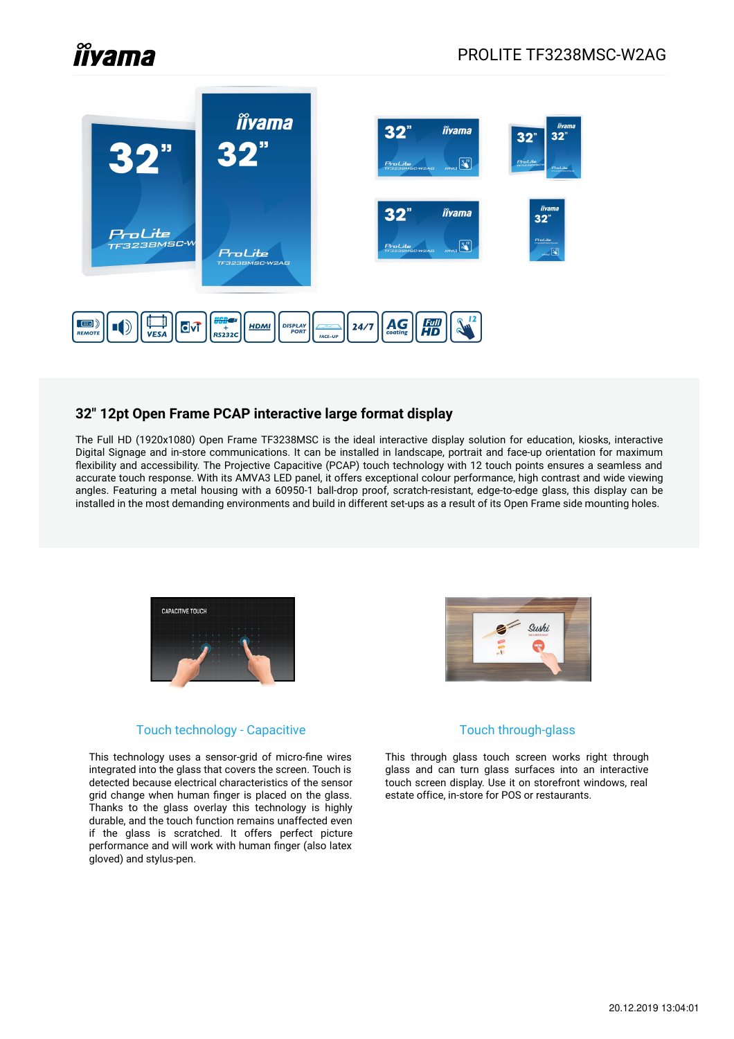# **Îlyama**



### **32" 12pt Open Frame PCAP interactive large format display**

The Full HD (1920x1080) Open Frame TF3238MSC is the ideal interactive display solution for education, kiosks, interactive Digital Signage and in-store communications. It can be installed in landscape, portrait and face-up orientation for maximum flexibility and accessibility. The Projective Capacitive (PCAP) touch technology with 12 touch points ensures a seamless and accurate touch response. With its AMVA3 LED panel, it offers exceptional colour performance, high contrast and wide viewing angles. Featuring a metal housing with a 60950-1 ball-drop proof, scratch-resistant, edge-to-edge glass, this display can be installed in the most demanding environments and build in different set-ups as a result of its Open Frame side mounting holes.



#### Touch technology - Capacitive

This technology uses a sensor-grid of micro-fine wires integrated into the glass that covers the screen. Touch is detected because electrical characteristics of the sensor grid change when human finger is placed on the glass. Thanks to the glass overlay this technology is highly durable, and the touch function remains unaffected even if the glass is scratched. It offers perfect picture performance and will work with human finger (also latex gloved) and stylus-pen.



#### Touch through-glass

This through glass touch screen works right through glass and can turn glass surfaces into an interactive touch screen display. Use it on storefront windows, real estate office, in-store for POS or restaurants.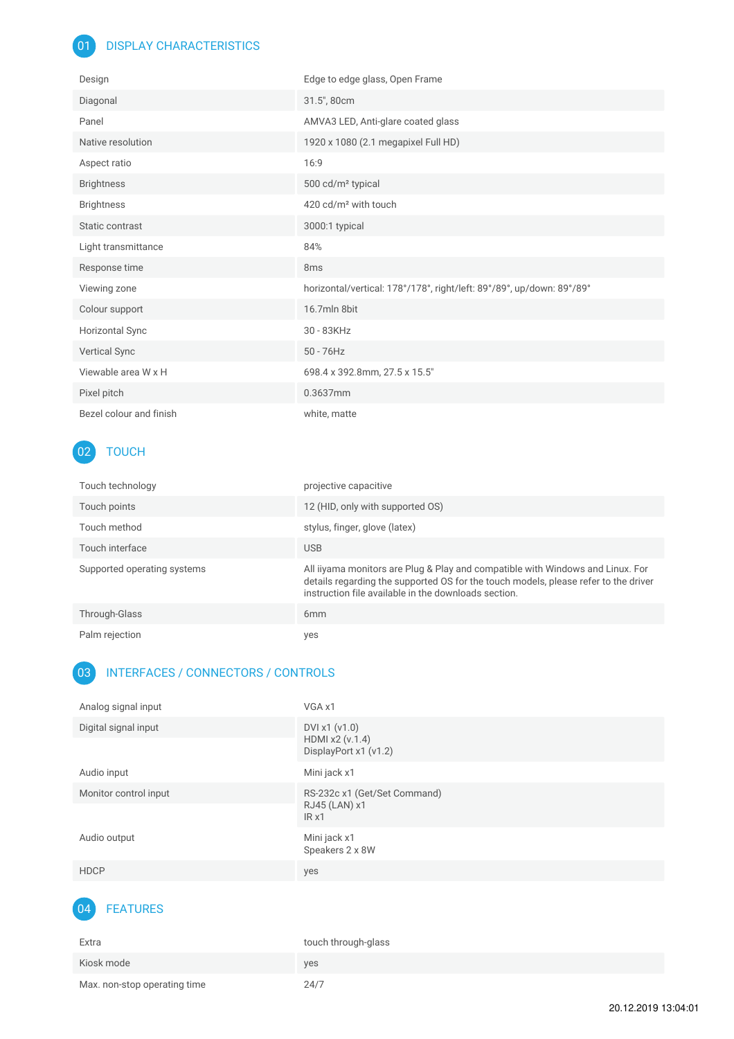## 01 DISPLAY CHARACTERISTICS

| Design                  | Edge to edge glass, Open Frame                                        |
|-------------------------|-----------------------------------------------------------------------|
| Diagonal                | 31.5", 80cm                                                           |
| Panel                   | AMVA3 LED, Anti-glare coated glass                                    |
| Native resolution       | 1920 x 1080 (2.1 megapixel Full HD)                                   |
| Aspect ratio            | 16:9                                                                  |
| <b>Brightness</b>       | 500 cd/m <sup>2</sup> typical                                         |
| <b>Brightness</b>       | 420 cd/m <sup>2</sup> with touch                                      |
| Static contrast         | 3000:1 typical                                                        |
| Light transmittance     | 84%                                                                   |
| Response time           | 8 <sub>ms</sub>                                                       |
| Viewing zone            | horizontal/vertical: 178°/178°, right/left: 89°/89°, up/down: 89°/89° |
| Colour support          | 16.7mln 8bit                                                          |
| Horizontal Sync         | 30 - 83KHz                                                            |
| <b>Vertical Sync</b>    | $50 - 76$ Hz                                                          |
| Viewable area W x H     | 698.4 x 392.8mm, 27.5 x 15.5"                                         |
| Pixel pitch             | 0.3637mm                                                              |
| Bezel colour and finish | white, matte                                                          |

# 02 TOUCH

| Touch technology            | projective capacitive                                                                                                                                                                                                         |
|-----------------------------|-------------------------------------------------------------------------------------------------------------------------------------------------------------------------------------------------------------------------------|
| Touch points                | 12 (HID, only with supported OS)                                                                                                                                                                                              |
| Touch method                | stylus, finger, glove (latex)                                                                                                                                                                                                 |
| Touch interface             | <b>USB</b>                                                                                                                                                                                                                    |
| Supported operating systems | All iiyama monitors are Plug & Play and compatible with Windows and Linux. For<br>details regarding the supported OS for the touch models, please refer to the driver<br>instruction file available in the downloads section. |
| Through-Glass               | 6 <sub>mm</sub>                                                                                                                                                                                                               |
| Palm rejection              | yes                                                                                                                                                                                                                           |

## 03 INTERFACES / CONNECTORS / CONTROLS

| Analog signal input   | VGA x1                                                    |
|-----------------------|-----------------------------------------------------------|
| Digital signal input  | DVI x1 (v1.0)<br>HDMI x2 (v.1.4)<br>DisplayPort x1 (v1.2) |
| Audio input           | Mini jack x1                                              |
| Monitor control input | RS-232c x1 (Get/Set Command)<br>RJ45 (LAN) x1<br>IRx1     |
| Audio output          | Mini jack x1<br>Speakers 2 x 8W                           |
| <b>HDCP</b>           | yes                                                       |



| Extra                        | touch through-glass |
|------------------------------|---------------------|
| Kiosk mode                   | ves                 |
| Max. non-stop operating time | 24/7                |

20.12.2019 13:04:01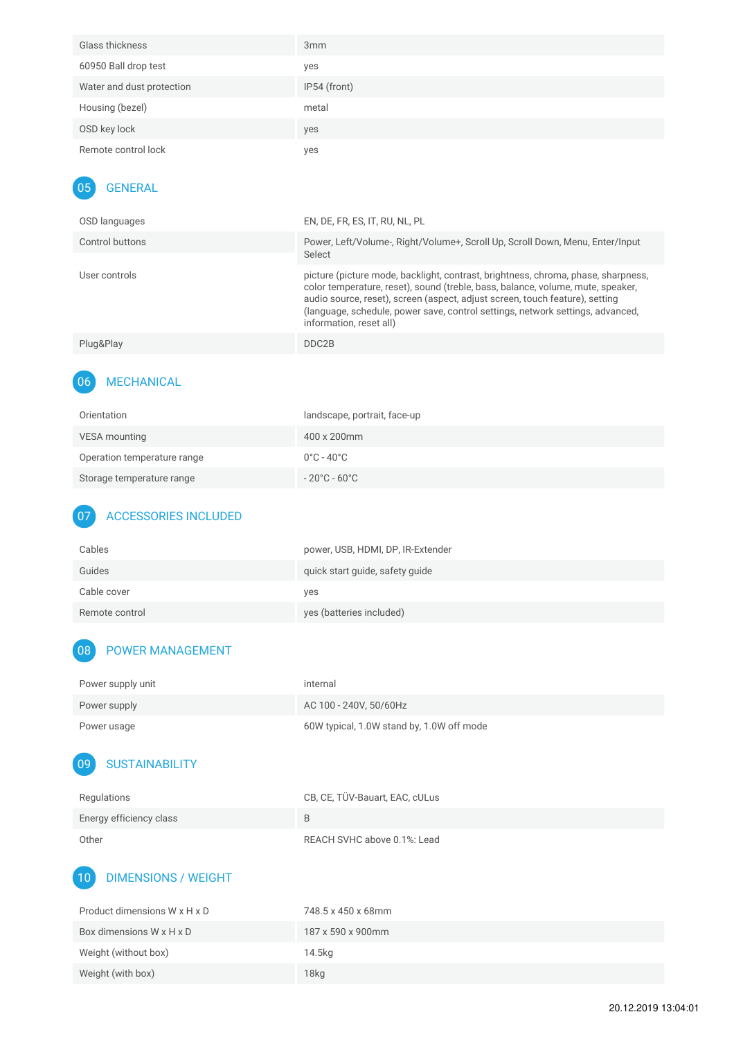| Glass thickness           | 3 <sub>mm</sub> |
|---------------------------|-----------------|
| 60950 Ball drop test      | yes             |
| Water and dust protection | IP54 (front)    |
| Housing (bezel)           | metal           |
| OSD key lock              | yes             |
| Remote control lock       | yes             |
|                           |                 |

#### 05 GENERAL

| Power, Left/Volume-, Right/Volume+, Scroll Up, Scroll Down, Menu, Enter/Input                                                                                                                                                                          |
|--------------------------------------------------------------------------------------------------------------------------------------------------------------------------------------------------------------------------------------------------------|
| picture (picture mode, backlight, contrast, brightness, chroma, phase, sharpness,<br>color temperature, reset), sound (treble, bass, balance, volume, mute, speaker,<br>(language, schedule, power save, control settings, network settings, advanced, |
|                                                                                                                                                                                                                                                        |
|                                                                                                                                                                                                                                                        |

## 06 MECHANICAL

| Orientation                 | landscape, portrait, face-up           |
|-----------------------------|----------------------------------------|
| VESA mounting               | $400 \times 200$ mm                    |
| Operation temperature range | $0^{\circ}$ C - 40 $^{\circ}$ C $^{-}$ |
| Storage temperature range   | $-20^{\circ}$ C - 60 $^{\circ}$ C -    |

## 07 ACCESSORIES INCLUDED

| Cables         | power, USB, HDMI, DP, IR-Extender |
|----------------|-----------------------------------|
| Guides         | quick start guide, safety guide   |
| Cable cover    | yes                               |
| Remote control | yes (batteries included)          |

## 08 POWER MANAGEMENT

| Power supply unit | internal                                  |
|-------------------|-------------------------------------------|
| Power supply      | AC 100 - 240V, 50/60Hz                    |
| Power usage       | 60W typical, 1.0W stand by, 1.0W off mode |

## 09 SUSTAINABILITY

| Regulations             | CB, CE, TÜV-Bauart, EAC, cULus |
|-------------------------|--------------------------------|
| Energy efficiency class | R                              |
| Other                   | REACH SVHC above 0.1%: Lead    |

## 10 DIMENSIONS / WEIGHT

| Product dimensions W x H x D | 748.5 x 450 x 68mm |
|------------------------------|--------------------|
| Box dimensions W x H x D     | 187 x 590 x 900mm  |
| Weight (without box)         | 14.5kg             |
| Weight (with box)            | 18 <sub>kg</sub>   |